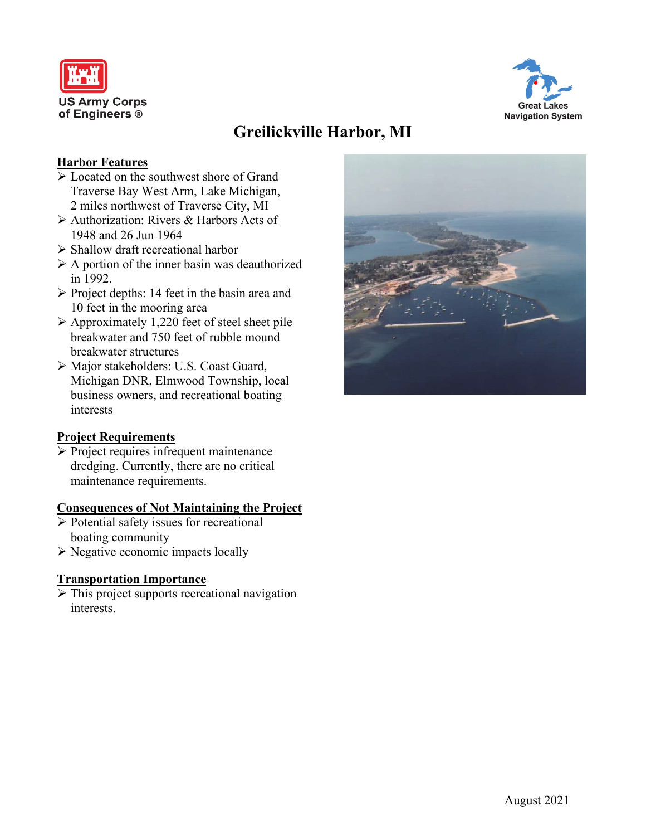



# **Greilickville Harbor, MI**

### **Harbor Features**

- $\triangleright$  Located on the southwest shore of Grand Traverse Bay West Arm, Lake Michigan, 2 miles northwest of Traverse City, MI
- Authorization: Rivers & Harbors Acts of 1948 and 26 Jun 1964
- $\triangleright$  Shallow draft recreational harbor
- $\triangleright$  A portion of the inner basin was deauthorized in 1992.
- $\triangleright$  Project depths: 14 feet in the basin area and 10 feet in the mooring area
- $\triangleright$  Approximately 1,220 feet of steel sheet pile breakwater and 750 feet of rubble mound breakwater structures
- Major stakeholders: U.S. Coast Guard, Michigan DNR, Elmwood Township, local business owners, and recreational boating interests

#### **Project Requirements**

 $\triangleright$  Project requires infrequent maintenance dredging. Currently, there are no critical maintenance requirements.

#### **Consequences of Not Maintaining the Project**

- $\triangleright$  Potential safety issues for recreational boating community
- $\triangleright$  Negative economic impacts locally

## **Transportation Importance**

 $\triangleright$  This project supports recreational navigation interests.